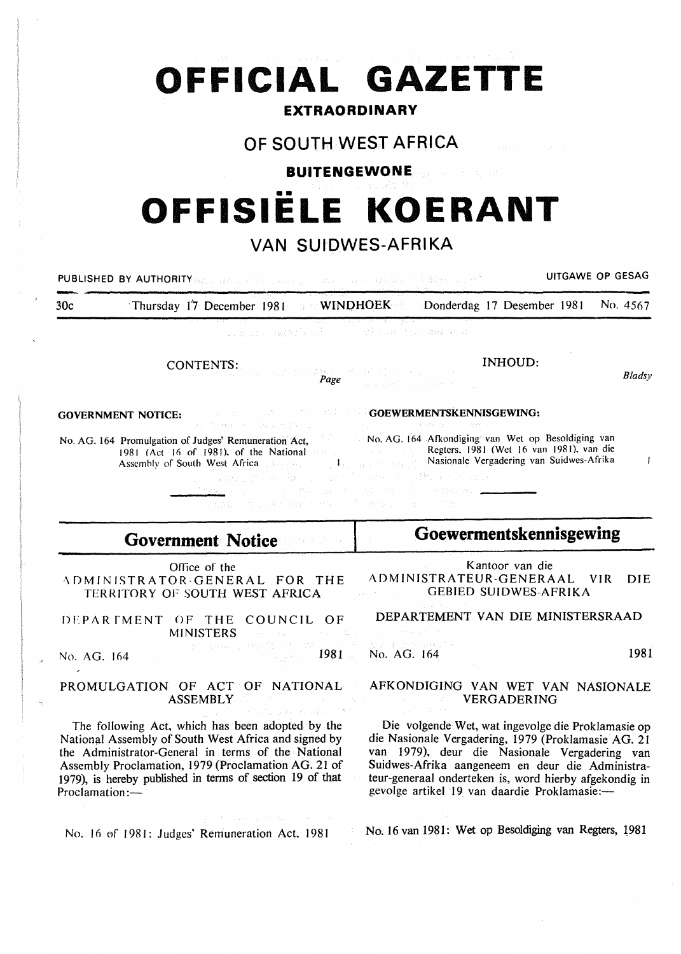# **OFFICIAL GAZETTE**

## **EXTRAORDINARY**

## **OF SOUTH WEST AFRICA**

**BUITENGEWONE** 

## •• **OFFISIELE KOERANT**

## **VAN SUIDWES-AFRIKA**

PUBLISHED BY AUTHORITY WAS DRIVING WITH A RELEASE OF LINE RELEASE OF LINE RELEASE OF GESAG 30c · Thursday 17 December 1981 MINDHOEK Donderdag 17 Desember 1981 No. 4567 and a control of the second second and control of the INHOUD: CONTENTS: *Bladsy Page*  us in the case of a GOEWERMENTSKENNISGEWING: GOVERNMENT NOTICE: No. AG. 164 Afkondiging van Wet op Besoldiging van No. AG. 164 Promulgation of Judges' Remuneration Act, Regters. 1981 (Wet 16 van 1981). van die 1981 (Act 16 of 1981), of the National Nasionale Vergadering van Suidwes-Afrika ong P  $\mathbf{I}$ Assembly of South West Africa contract the state of the state The Charts of Tey as **Goewermentskennisgewing Government Notice**  Kantoor van die Office of the ADMINISTRATEUR-GENERAAL VIR DIE ·\DMINISTRATOR-GENERAL FOR THE

DFPAR fMENT OF THE COUNCIL OF MINISTERS

TERRITORY OF SOUTH WEST AFRICA

No. AG. 164 1981

#### PROMULGATION OF ACT OF NATIONAL ASSEMBLY

The following Act, which has been adopted by the National Assembly of South West Africa and signed by the Administrator-General in terms of the National Assembly Proclamation, 1979 (Proclamation AG. 21 of 1979), is hereby published in terms of section 19 of that Proclamation:-

No. 16 of 1981: Judges' Remuneration Act, 1981

Dealer Controller

GEBIED SUIDWES-AFRIKA

DEPARTEMENT VAN DIE MINISTERSRAAD

No. AG. 164 1981

#### AFKONDIGING VAN WET VAN NASIONALE VERGADERING

Die volgende Wet, wat ingevolge die Proklamasie op die Nasionale Vergadering, 1979 (Proklamasie AG. 21 van 1979), deur die Nasionale Vergadering van Suidwes-Afrika aangeneem en deur die Administrateur-generaal onderteken is, word hierby afgekondig in gevolge artikel 19 van daardie Proklamasie:-

No. 16 van 1981: Wet op Besoldiging van Regters, 1981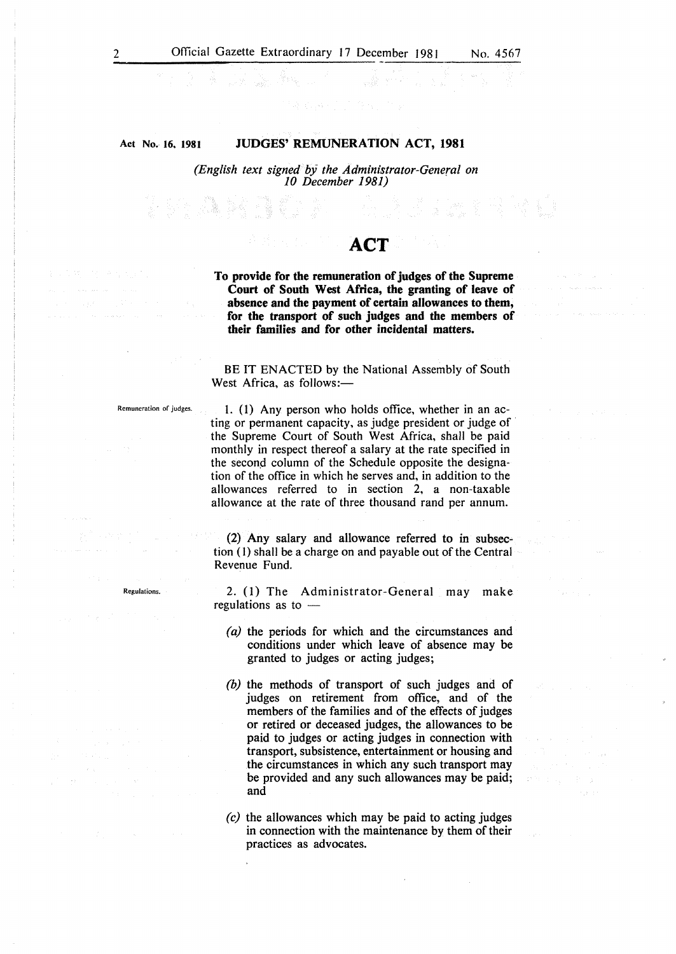#### Act No. 16, 1981 JUDGES' REMUNERATION ACT, 1981

*(English text signed bj the Administrator-General on 10 December 1981)* 

## **ACT**

an Alberta

To provide for the remuneration of judges of the Supreme Court of South West Africa, the granting of leave of absence and the payment of certain allowances to them, for the transport of such judges and the members of their families and for other incidental matters.

BE IT ENACTED by the National Assembly of South West Africa, as follows:-

Regulations.

Remuneration of judges. 1. (1) Any person who holds office, whether in an acting or permanent capacity, as judge president or judge of · the Supreme Court of South West Africa, shall be paid monthly in respect thereof a salary at the rate specified in the second column of the Schedule opposite the designation of the office in which he serves and, in addition to the allowances referred to in section 2, a non-taxable allowance at the rate of three thousand rand per annum.

> (2) Any salary and allowance referred to in subsection (I) shall be a charge on and payable out of the Central Revenue Fund.

> 2. (1) The Administrator-General may make regulations as to  $-$

- *(a)* the periods for which and the circumstances and conditions under which leave of absence may be granted to judges or acting judges;
- *(b)* the methods of transport of such judges and of judges on retirement from office, and of the members of the families and of the effects of judges or retired or deceased judges, the allowances to be paid to judges or acting judges in connection with transport, subsistence, entertainment or housing and the circumstances in which any such transport may be provided and any such allowances may be paid; and

**CONTRACTOR** 

*(c)* the allowances which may be paid to acting judges in connection with the maintenance by them of their practices as advocates.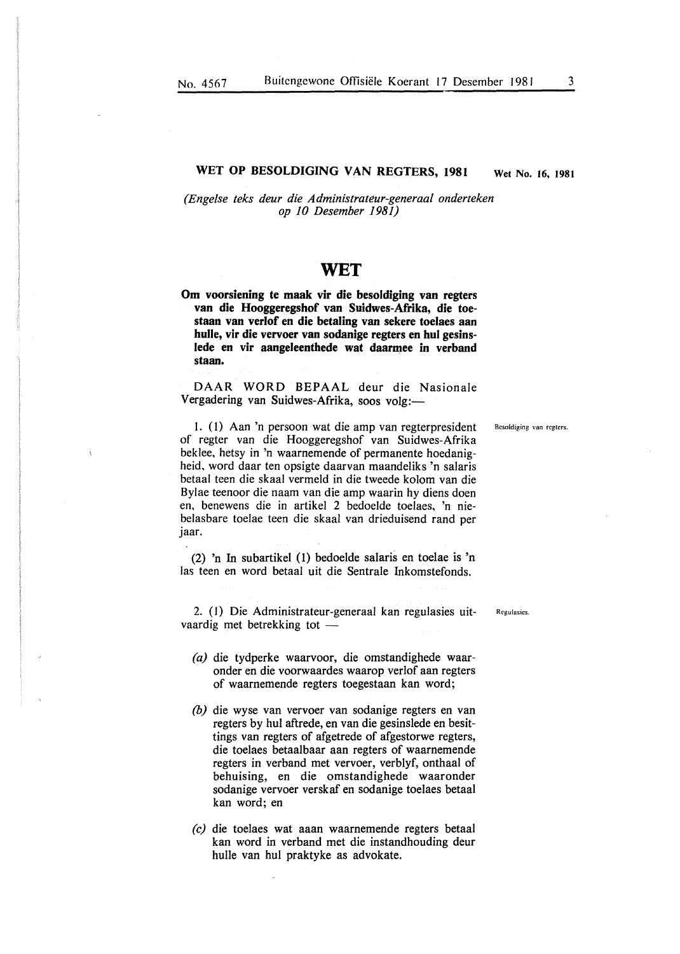#### WET OP BESOLDIGING VAN REGTERS, 1981 Wet No. 16, 1981

*(Engelse teks deur die Administrateur-generaal onderteken op 10 Desember 1981)* 

### WET

Om voorsiening te maak vir die besoldiging van regters van die Hooggeregshof van Suidwes-Afrika, die toestaan van verlof en die betaling van sekere toelaes aan bulle, vir die vervoer van sodanige regters en hul gesinslede en vir aangeleenthede wat daarmee in verband staan.

DAAR WORD BEPAAL deur die Nasionale Vergadering van Suidwes-Afrika, soos volg:-

1. (1) Aan 'n persoon wat die amp van regterpresident Besoldiging van regters. of regter van die Hooggeregsbof van Suidwes-Afrika beklee, betsy in 'n waarnemende of permanente boedanigbeid, word daar ten opsigte daarvan maandeliks 'n salaris betaal teen die skaal vermeld in die tweede kolom van die Bylae teenoor die naam van die amp waarin hy diens doen en, benewens die in artikel 2 bedoelde toelaes, 'n niebelasbare toelae teen die skaal van drieduisend rand per jaar.

(2) 'n In subartikel (1) bedoelde salaris en toelae is 'n las teen en word betaal uit die Sentrale Inkomstefonds.

2. (l) Die Administrateur-generaal kan regulasies uitvaardig met betrekking tot -

- *(a)* die tydperke waarvoor, die omstandighede waaronder en die voorwaardes waarop verlof aan regters of waarnemende regters toegestaan kan word;
- *(b)* die wyse van vervoer van sodanige regters en van regters by hul aftrede, en van die gesinslede en besittings van regters of afgetrede of afgestorwe regters, die toelaes betaalbaar aan regters of waarnemende regters in verband met vervoer, verblyf, onthaal of behuising, en die omstandighede waaronder sodanige vervoer verskaf en sodanige toelaes betaal kan word; en
- *(c)* die toelaes wat aaan waarnemende regters betaal kan word in verband met die instandhouding deur bulle van hul praktyke as advokate.

Regulasies.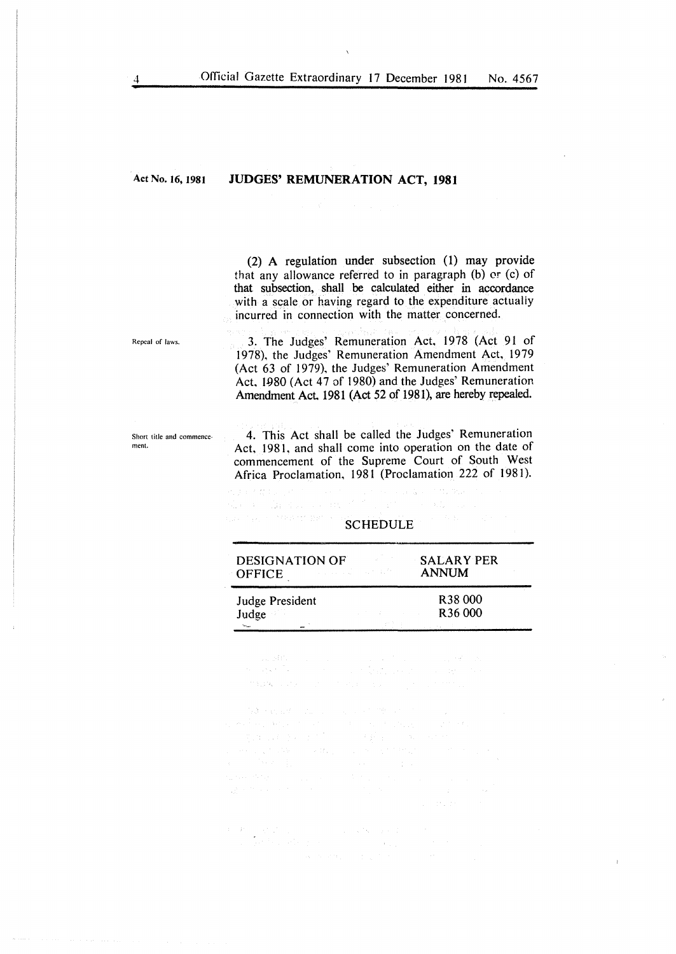Act No. 16, 1981

#### JUDGES' REMUNERATION ACT, 1981

(2) A regulation under subsection (1) may provide that any allowance referred to in paragraph (b) or (c) of that subsection, shall be calculated either in accordance with a scale or having regard to the expenditure actually incurred in connection with the matter concerned.

Repeal of laws.

Short title and commence-

ment.

3. The Judges' Remuneration Act, 1978 (Act 91 of 1978), the Judges' Remuneration Amendment Act, 1979 (Act 63 of 1979), the Judges' Remuneration Amendment Act, 1980 (Act  $47$  of 1980) and the Judges' Remuneration Amendment Act. 1981 (Act 52 of 1981), are hereby repealed.

4. This Act shall be called the Judges' Remuneration Act, 1981, and shall come into operation on the date of commencement of the Supreme Court of South West Africa Proclamation, 1981 (Proclamation 222 of 1981).

alian ketau die als danger en de Politike en de keizer

#### up the complete many SCHEDULE **SCHEDULE**

| <b>DESIGNATION OF</b><br><b>OFFICE</b> | a shekara ta 1970, wasan ƙafa ta ƙasar | <b>SALARY PER</b><br><b>ANNUM</b> |
|----------------------------------------|----------------------------------------|-----------------------------------|
| Judge President                        |                                        | R <sub>38</sub> 000               |
| Judge                                  |                                        | R <sub>36</sub> 000               |
|                                        |                                        |                                   |

 $\label{eq:2.1} \begin{split} \mathcal{L}_{\text{G}}(\mathcal{A} \mathbf{G}) = \mathcal{L}_{\text{G}}(\mathcal{A}) = \mathcal{L}_{\text{G}}(\mathcal{A}) = \mathcal{L}_{\text{G}}(\mathcal{A}) = \mathcal{L}_{\text{G}}(\mathcal{A}) = \mathcal{L}_{\text{G}}(\mathcal{A}) = \mathcal{L}_{\text{G}}(\mathcal{A}) = \mathcal{L}_{\text{G}}(\mathcal{A}) = \mathcal{L}_{\text{G}}(\mathcal{A}) = \mathcal{L}_{\text{G}}(\mathcal{A}) = \mathcal{L}_{\text{G}}(\mathcal{A}) = \math$  $\mathcal{O}(226) \times \mathcal{O}(2) \times \mathcal{O}(2) \times \mathcal{O}(224) \times \mathcal{O}(2) \times \mathcal{O}(2) \times \mathcal{O}(2) \times \mathcal{O}(2) \times \mathcal{O}(2)$ 

 $\begin{split} &\mathcal{L}(\mathbf{A}) + \mathcal{L}(\mathbf{A}) \mathcal{L}(\mathbf{A}) = \mathcal{L}(\mathbf{A}) + \mathcal{L}(\mathbf{A}) \mathcal{L}(\mathbf{A}) \\ &\mathcal{L}(\mathbf{A}) \mathcal{L}(\mathbf{A}) + \mathcal{L}(\mathbf{A}) \mathcal{L}(\mathbf{A}) = \mathcal{L}(\mathbf{A}) + \mathcal{L}(\mathbf{A}) \mathcal{L}(\mathbf{A}) \\ &\qquad - \mathcal{L}(\mathbf{A}) \mathcal{L}(\mathbf{A}) \mathcal{L}(\mathbf{A}) + \mathcal{L}(\$ 

 $\begin{split} \mathbf{P}_1 & = \mathbf{P}_2^T \left[ \begin{array}{cc} \mathbf{Q}_1^T \mathbf{Q}_2^T \mathbf{Q}_3^T \end{array} \right] \,, \qquad \qquad \qquad \qquad \mathbf{Q}_2^T \mathbf{Q}_2^T \mathbf{Q}_3^T \mathbf{Q}_4^T \mathbf{Q}_5^T \mathbf{Q}_5^T \mathbf{Q}_6^T \mathbf{Q}_7^T \mathbf{Q}_7^T \mathbf{Q}_7^T \mathbf{Q}_7^T \mathbf{Q}_7^T \mathbf{Q}_7^T \mathbf{Q}_7^T \mathbf{Q}_7^T \mathbf$